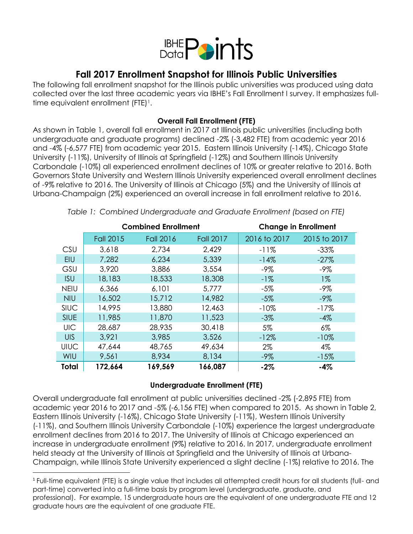

## **Fall 2017 Enrollment Snapshot for Illinois Public Universities**

The following fall enrollment snapshot for the Illinois public universities was produced using data collected over the last three academic years via IBHE's Fall Enrollment I survey. It emphasizes fulltime equivalent enrollment (FTE)<sup>1</sup>.

## **Overall Fall Enrollment (FTE)**

As shown in Table 1, overall fall enrollment in 2017 at Illinois public universities (including both undergraduate and graduate programs) declined -2% (-3,482 FTE) from academic year 2016 and -4% (-6,577 FTE) from academic year 2015. Eastern Illinois University (-14%), Chicago State University (-11%), University of Illinois at Springfield (-12%) and Southern Illinois University Carbondale (-10%) all experienced enrollment declines of 10% or greater relative to 2016. Both Governors State University and Western Illinois University experienced overall enrollment declines of -9% relative to 2016. The University of Illinois at Chicago (5%) and the University of Illinois at Urbana-Champaign (2%) experienced an overall increase in fall enrollment relative to 2016.

|             | <b>Combined Enrollment</b> |                  |                  | <b>Change in Enrollment</b> |              |  |
|-------------|----------------------------|------------------|------------------|-----------------------------|--------------|--|
|             | <b>Fall 2015</b>           | <b>Fall 2016</b> | <b>Fall 2017</b> | 2016 to 2017                | 2015 to 2017 |  |
| CSU         | 3,618                      | 2,734            | 2,429            | $-11%$                      | $-33\%$      |  |
| EIU         | 7,282                      | 6,234            | 5,339            | $-14%$                      | $-27%$       |  |
| GSU         | 3,920                      | 3,886            | 3,554            | -9%                         | -9%          |  |
| <b>ISU</b>  | 18,183                     | 18,533           | 18,308           | $-1%$                       | $1\%$        |  |
| <b>NEIU</b> | 6,366                      | 6,101            | 5,777            | $-5\%$                      | $-9\%$       |  |
| <b>NIU</b>  | 16,502                     | 15,712           | 14,982           | $-5\%$                      | $-9\%$       |  |
| <b>SIUC</b> | 14,995                     | 13,880           | 12,463           | $-10%$                      | $-17%$       |  |
| <b>SIUE</b> | 11,985                     | 11,870           | 11,523           | $-3\%$                      | $-4%$        |  |
| <b>UIC</b>  | 28,687                     | 28,935           | 30,418           | 5%                          | $6\%$        |  |
| <b>UIS</b>  | 3,921                      | 3,985            | 3,526            | $-12%$                      | $-10%$       |  |
| <b>UIUC</b> | 47,644                     | 48,765           | 49,634           | $2\%$                       | 4%           |  |
| WIU         | 9,561                      | 8,934            | 8,134            | $-9\%$                      | $-15%$       |  |
| Total       | 172,664                    | 169,569          | 166,087          | $-2%$                       | $-4%$        |  |

*Table 1: Combined Undergraduate and Graduate Enrollment (based on FTE)*

## **Undergraduate Enrollment (FTE)**

Overall undergraduate fall enrollment at public universities declined -2% (-2,895 FTE) from academic year 2016 to 2017 and -5% (-6,156 FTE) when compared to 2015. As shown in Table 2, Eastern Illinois University (-16%), Chicago State University (-11%), Western Illinois University (-11%), and Southern Illinois University Carbondale (-10%) experience the largest undergraduate enrollment declines from 2016 to 2017. The University of Illinois at Chicago experienced an increase in undergraduate enrollment (9%) relative to 2016. In 2017, undergraduate enrollment held steady at the University of Illinois at Springfield and the University of Illinois at Urbana-Champaign, while Illinois State University experienced a slight decline (-1%) relative to 2016. The

 $\overline{a}$ 

<sup>1</sup> Full-time equivalent (FTE) is a single value that includes all attempted credit hours for all students (full- and part-time) converted into a full-time basis by program level (undergraduate, graduate, and professional). For example, 15 undergraduate hours are the equivalent of one undergraduate FTE and 12 graduate hours are the equivalent of one graduate FTE.